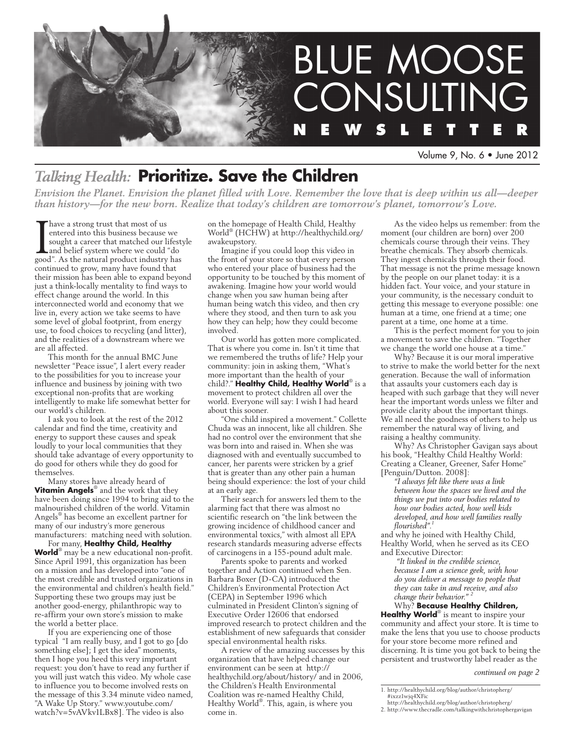

#### Volume 9, No. 6 • June 2012

# *Talking Health:* **Prioritize. Save the Children**

*Envision the Planet. Envision the planet filled with Love. Remember the love that is deep within us all—deeper than history—for the new born. Realize that today's children are tomorrow's planet, tomorrow's Love.*

Thave a strong trust that most of us<br>entered into this business because<br>sought a career that matched our line<br>and belief system where we could<br>good". As the natural product industry entered into this business because we sought a career that matched our lifestyle and belief system where we could "do good". As the natural product industry has continued to grow, many have found that their mission has been able to expand beyond just a think-locally mentality to find ways to effect change around the world. In this interconnected world and economy that we live in, every action we take seems to have some level of global footprint, from energy use, to food choices to recycling (and litter), and the realities of a downstream where we are all affected.

This month for the annual BMC June newsletter "Peace issue", I alert every reader to the possibilities for you to increase your influence and business by joining with two exceptional non-profits that are working intelligently to make life somewhat better for our world's children.

I ask you to look at the rest of the 2012 calendar and find the time, creativity and energy to support these causes and speak loudly to your local communities that they should take advantage of every opportunity to do good for others while they do good for themselves.

Many stores have already heard of **Vitamin Angels**® and the work that they have been doing since 1994 to bring aid to the malnourished children of the world. Vitamin Angels® has become an excellent partner for many of our industry's more generous manufacturers: matching need with solution.

For many, **Healthy Child, Healthy World**® may be a new educational non-profit. Since April 1991, this organization has been on a mission and has developed into "one of the most credible and trusted organizations in the environmental and children's health field." Supporting these two groups may just be another good-energy, philanthropic way to re-affirm your own store's mission to make the world a better place.

If you are experiencing one of those typical "I am really busy, and I got to go [do something else]; I get the idea" moments, then I hope you heed this very important request: you don't have to read any further if you will just watch this video. My whole case to influence you to become involved rests on the message of this 3.34 minute video named, "A Wake Up Story." www.youtube.com/ watch?v=5vAVkv1LBx8]. The video is also

on the homepage of Health Child, Healthy World® (HCHW) at http://healthychild.org/ awakeupstory.

Imagine if you could loop this video in the front of your store so that every person who entered your place of business had the opportunity to be touched by this moment of awakening. Imagine how your world would change when you saw human being after human being watch this video, and then cry where they stood, and then turn to ask you how they can help; how they could become involved.

Our world has gotten more complicated. That is where you come in. Isn't it time that we remembered the truths of life? Help your community: join in asking them, "What's more important than the health of your child?." **Healthy Child, Healthy World**® is a movement to protect children all over the world. Everyone will say: I wish I had heard about this sooner.

"One child inspired a movement." Collette Chuda was an innocent, like all children. She had no control over the environment that she was born into and raised in. When she was diagnosed with and eventually succumbed to cancer, her parents were stricken by a grief that is greater than any other pain a human being should experience: the lost of your child at an early age.

Their search for answers led them to the alarming fact that there was almost no scientific research on "the link between the growing incidence of childhood cancer and environmental toxics," with almost all EPA research standards measuring adverse effects of carcinogens in a 155-pound adult male.

Parents spoke to parents and worked together and Action continued when Sen. Barbara Boxer (D-CA) introduced the Children's Environmental Protection Act (CEPA) in September 1996 which culminated in President Clinton's signing of Executive Order 12606 that endorsed improved research to protect children and the establishment of new safeguards that consider special environmental health risks.

A review of the amazing successes by this organization that have helped change our environment can be seen at http:// healthychild.org/about/history/ and in 2006, the Children's Health Environmental Coalition was re-named Healthy Child, Healthy World®. This, again, is where you come in.

As the video helps us remember: from the moment (our children are born) over 200 chemicals course through their veins. They breathe chemicals. They absorb chemicals. They ingest chemicals through their food. That message is not the prime message known by the people on our planet today: it is a hidden fact. Your voice, and your stature in your community, is the necessary conduit to getting this message to everyone possible: one human at a time, one friend at a time; one parent at a time, one home at a time.

This is the perfect moment for you to join a movement to save the children. "Together we change the world one house at a time."

Why? Because it is our moral imperative to strive to make the world better for the next generation. Because the wall of information that assaults your customers each day is heaped with such garbage that they will never hear the important words unless we filter and provide clarity about the important things. We all need the goodness of others to help us remember the natural way of living, and raising a healthy community.

Why? As Christopher Gavigan says about his book, "Healthy Child Healthy World: Creating a Cleaner, Greener, Safer Home" [Penguin/Dutton. 2008]:

*"I always felt like there was a link between how the spaces we lived and the things we put into our bodies related to how our bodies acted, how well kids developed, and how well families really flourished".1*

and why he joined with Healthy Child, Healthy World, when he served as its CEO and Executive Director:

 *"It linked in the credible science, because I am a science geek, with how do you deliver a message to people that they can take in and receive, and also change their behavior." <sup>2</sup>*

#### Why? **Because Healthy Children,**

Healthy World<sup>®</sup> is meant to inspire your community and affect your store. It is time to make the lens that you use to choose products for your store become more refined and discerning. It is time you got back to being the persistent and trustworthy label reader as the

*continued on page 2*

<sup>1.</sup> http://healthychild.org/blog/author/christopherg/ #ixzz1wjq4XFic http://healthychild.org/blog/author/christopherg/

<sup>2.</sup> http://www.thecradle.com/talkingwithchristophergavigan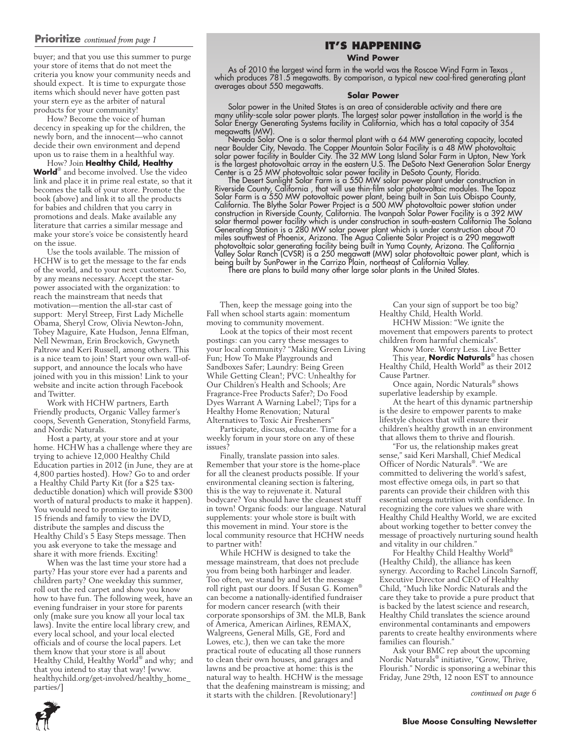#### **Prioritize** *continued from page 1*

buyer; and that you use this summer to purge your store of items that do not meet the criteria you know your community needs and should expect. It is time to expurgate those items which should never have gotten past your stern eye as the arbiter of natural products for your community!

How? Become the voice of human decency in speaking up for the children, the newly born, and the innocent—who cannot decide their own environment and depend upon us to raise them in a healthful way.

How? Join **Healthy Child, Healthy World**® and become involved. Use the video link and place it in prime real estate, so that it becomes the talk of your store. Promote the book (above) and link it to all the products for babies and children that you carry in promotions and deals. Make available any literature that carries a similar message and make your store's voice be consistently heard on the issue.

Use the tools available. The mission of HCHW is to get the message to the far ends of the world, and to your next customer. So, by any means necessary. Accept the starpower associated with the organization: to reach the mainstream that needs that motivation—mention the all-star cast of support: Meryl Streep, First Lady Michelle Obama, Sheryl Crow, Olivia Newton-John, Tobey Maguire, Kate Hudson, Jenna Elfman, Nell Newman, Erin Brockovich, Gwyneth Paltrow and Keri Russell, among others. This is a nice team to join! Start your own wall-ofsupport, and announce the locals who have joined with you in this mission! Link to your website and incite action through Facebook and Twitter.

Work with HCHW partners, Earth Friendly products, Organic Valley farmer's coops, Seventh Generation, Stonyfield Farms, and Nordic Naturals.

Host a party, at your store and at your home. HCHW has a challenge where they are trying to achieve 12,000 Healthy Child Education parties in 2012 (in June, they are at 4,800 parties hosted). How? Go to and order a Healthy Child Party Kit (for a \$25 taxdeductible donation) which will provide \$300 worth of natural products to make it happen). You would need to promise to invite 15 friends and family to view the DVD, distribute the samples and discuss the Healthy Child's 5 Easy Steps message. Then you ask everyone to take the message and share it with more friends. Exciting!

When was the last time your store had a party? Has your store ever had a parents and children party? One weekday this summer, roll out the red carpet and show you know how to have fun. The following week, have an evening fundraiser in your store for parents only (make sure you know all your local tax laws). Invite the entire local library crew, and every local school, and your local elected officials and of course the local papers. Let them know that your store is all about Healthy Child, Healthy World® and why; and that you intend to stay that way! [www. healthychild.org/get-involved/healthy\_home\_ parties/]

#### **It's Happening**

**Wind Power**

As of 2010 the largest wind farm in the world was the Roscoe Wind Farm in Texas , which produces 781.5 megawatts. By comparison, a typical new coal-fired generating plant averages about 550 megawatts.

#### **Solar Power**

Solar power in the United States is an area of considerable activity and there are many utility-scale solar power plants. The largest solar power installation in the world is the Solar Energy Generating Systems facility in California, which has a total capacity of 354 megawatts (MW).

Nevada Solar One is a solar thermal plant with a 64 MW generating capacity, located near Boulder City, Nevada. The Copper Mountain Solar Facility is a 48 MW photovoltaic solar power facility in Boulder City. The 32 MW Long Island Solar Farm in Upton, New York is the largest photovoltaic array in the eastern U.S. The DeSoto Next Generation Solar Energy Center is a 25 MW photovoltaic solar power facility in DeSoto County, Florida.

The Desert Sunlight Solar Farm is a 550 MW solar power plant under construction in Riverside County, California , that will use thin-film solar photovoltaic modules. The Topaz Solar Farm is a 550 MW potovoltaic power plant, being built in San Luis Obispo County, California. The Blythe Solar Power Project is a 500 MW photovoltaic power station under construction in Riverside County, California. The Ivanpah Solar Power Facility is a 392 MW solar thermal power facility which is under construction in south-eastern California The Solana Generating Station is a 280 MW solar power plant which is under construction about 70 miles southwest of Phoenix, Arizona. The Agua Caliente Solar Project is a 290 megawatt photovoltaic solar generating facility being built in Yuma County, Arizona. The California Valley Solar Ranch (CVSR) is a 250 megawatt (MW) solar photovoltaic power plant, which is being built by SunPower in the Carrizo Plain, northeast of California Valley.

There are plans to build many other large solar plants in the United States.

Then, keep the message going into the Fall when school starts again: momentum moving to community movement.

Look at the topics of their most recent postings: can you carry these messages to your local community? "Making Green Living Fun; How To Make Playgrounds and Sandboxes Safer; Laundry: Being Green While Getting Clean!; PVC: Unhealthy for Our Children's Health and Schools; Are Fragrance-Free Products Safer?; Do Food Dyes Warrant A Warning Label?; Tips for a Healthy Home Renovation; Natural Alternatives to Toxic Air Fresheners"

Participate, discuss, educate. Time for a weekly forum in your store on any of these issues?

Finally, translate passion into sales. Remember that your store is the home-place for all the cleanest products possible. If your environmental cleaning section is faltering, this is the way to rejuvenate it. Natural bodycare? You should have the cleanest stuff in town! Organic foods: our language. Natural supplements: your whole store is built with this movement in mind. Your store is the local community resource that HCHW needs to partner with!

While HCHW is designed to take the message mainstream, that does not preclude you from being both harbinger and leader. Too often, we stand by and let the message roll right past our doors. If Susan G. Komen® can become a nationally-identified fundraiser for modern cancer research (with their corporate sponsorships of 3M. the MLB, Bank of America, American Airlines, REMAX, Walgreens, General Mills, GE, Ford and Lowes, etc.), then we can take the more practical route of educating all those runners to clean their own houses, and garages and lawns and be proactive at home: this is the natural way to health. HCHW is the message that the deafening mainstream is missing; and it starts with the children. [Revolutionary!]

Can your sign of support be too big? Healthy Child, Health World.

HCHW Mission: "We ignite the movement that empowers parents to protect children from harmful chemicals".

Know More. Worry Less. Live Better This year, **Nordic Naturals**® has chosen Healthy Child, Health World® as their 2012 Cause Partner.

Once again, Nordic Naturals® shows superlative leadership by example.

At the heart of this dynamic partnership is the desire to empower parents to make lifestyle choices that will ensure their children's healthy growth in an environment that allows them to thrive and flourish.

"For us, the relationship makes great sense," said Keri Marshall, Chief Medical Officer of Nordic Naturals®. "We are committed to delivering the world's safest, most effective omega oils, in part so that parents can provide their children with this essential omega nutrition with confidence. In recognizing the core values we share with Healthy Child Healthy World, we are excited about working together to better convey the message of proactively nurturing sound health and vitality in our children."

For Healthy Child Healthy World® (Healthy Child), the alliance has keen synergy. According to Rachel Lincoln Sarnoff, Executive Director and CEO of Healthy Child, "Much like Nordic Naturals and the care they take to provide a pure product that is backed by the latest science and research, Healthy Child translates the science around environmental contaminants and empowers parents to create healthy environments where families can flourish."

Ask your BMC rep about the upcoming Nordic Naturals® initiative, "Grow, Thrive, Flourish." Nordic is sponsoring a webinar this Friday, June 29th, 12 noon EST to announce

*continued on page 6*

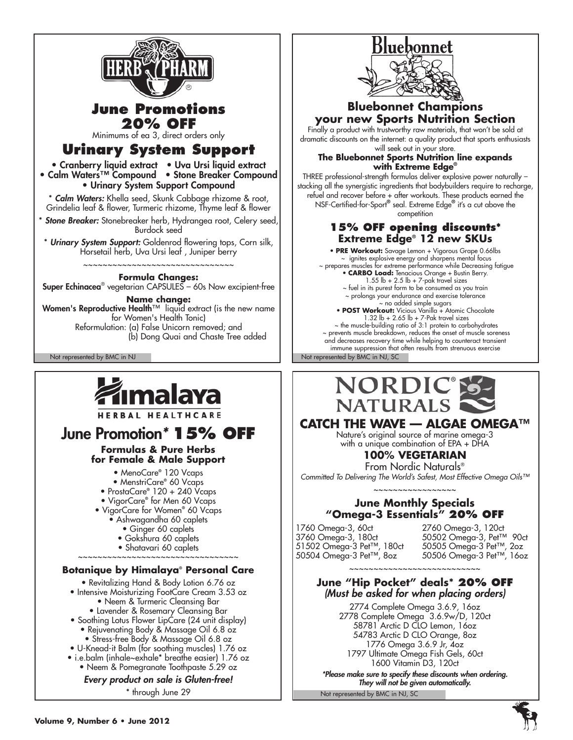

From Nordic Naturals® *Committed To Delivering The World's Safest, Most Effective Omega Oils™*

#### ~~~~~~~~~~~~~~~~~ **June Monthly Specials "Omega-3 Essentials" 20% OFF**

1760 Omega-3, 60ct<br>3760 Omega-3, 180ct 12760 Omega-3, Pet™ 90ct 3760 Omega-3, 180ct 50502 Omega-3, Pet™ 90ct 51502 Omega-3 Pet™, 180ct 50505 Omega-3 Pet™, 2oz 50504 Omega-3 Pet™, 8oz 50506 Omega-3 Pet™, 16oz

#### ~~~~~~~~~~~~~~~~~~~~~~~~~~ **June "Hip Pocket" deals\* 20% OFF** *(Must be asked for when placing orders)*

2774 Complete Omega 3.6.9, 16oz 2778 Complete Omega 3.6.9w/D, 120ct 58781 Arctic D CLO Lemon, 16oz 54783 Arctic D CLO Orange, 8oz 1776 Omega 3.6.9 Jr, 4oz 1797 Ultimate Omega Fish Gels, 60ct 1600 Vitamin D3, 120ct

*\*Please make sure to specify these discounts when ordering. They will not be given automatically.*

Not represented by BMC in NJ, SC

# • MenoCare**®** 120 Vcaps

• MenstriCare**®** 60 Vcaps

- ProstaCare**®** 120 + 240 Vcaps
- VigorCare**®** for Men 60 Vcaps
- VigorCare for Women**®** 60 Vcaps
	- Ashwagandha 60 caplets
		-
		- Ginger 60 caplets
		- Gokshura 60 caplets
- Shatavari 60 caplets ~~~~~~~~~~~~~~~~~~~~~~~~~~~~~~~~

#### **Botanique by Himalaya® Personal Care**

- Revitalizing Hand & Body Lotion 6.76 oz
- Intensive Moisturizing FootCare Cream 3.53 oz • Neem & Turmeric Cleansing Bar
	- Lavender & Rosemary Cleansing Bar
- Soothing Lotus Flower LipCare (24 unit display) • Rejuvenating Body & Massage Oil 6.8 oz
	- Stress-free Body & Massage Oil 6.8 oz
- U-Knead-it Balm (for soothing muscles) 1.76 oz
- i.e.balm (inhale~exhale\* breathe easier) 1.76 oz
	- Neem & Pomegranate Toothpaste 5.29 oz

#### *Every product on sale is Gluten-free!*

\* through June 29



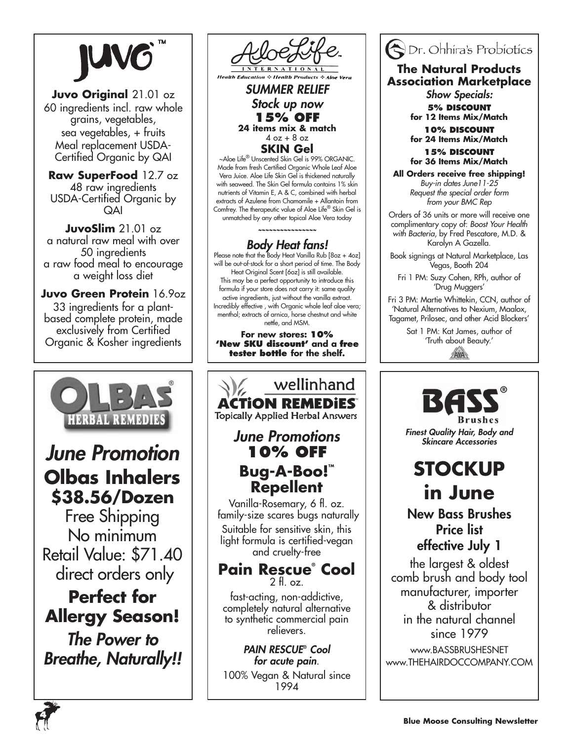**Juvo Original** 21.01 oz 60 ingredients incl. raw whole grains, vegetables, sea vegetables, + fruits Meal replacement USDA-Certified Organic by QAI

**Raw SuperFood** 12.7 oz 48 raw ingredients USDA-Certified Organic by QAI

**JuvoSlim** 21.01 oz a natural raw meal with over 50 ingredients a raw food meal to encourage a weight loss diet

**Juvo Green Protein** 16.9oz 33 ingredients for a plantbased complete protein, made exclusively from Certified Organic & Kosher ingredients



# *June Promotion* **Olbas Inhalers \$38.56/Dozen**

Free Shipping No minimum Retail Value: \$71.40 direct orders only

# **Perfect for Allergy Season!**

*The Power to Breathe, Naturally!!*



#### *SUMMER RELIEF Stock up now* **15% OFF 24 items mix & match**  $4$  oz  $+8$  oz **SKIN Gel**

~Aloe Life® Unscented Skin Gel is 99% ORGANIC. Made from fresh Certified Organic Whole Leaf Aloe Vera Juice. Aloe Life Skin Gel is thickened naturally with seaweed. The Skin Gel formula contains 1% skin nutrients of Vitamin E, A & C, combined with herbal extracts of Azulene from Chamomile + Allantoin from Comfrey. The therapeutic value of Aloe Life® Skin Gel is unmatched by any other topical Aloe Vera today

*~~~~~~~~~~~~~~~~*

**Body Heat fans!**<br>Please note that the Body Heat Vanilla Rub [8oz + 4oz] will be out-of-stock for a short period of time. The Body Heat Original Scent [6oz] is still available. This may be a perfect opportunity to introduce this formula if your store does not carry it: same quality active ingredients, just without the vanilla extract. Incredibly effective , with Organic whole leaf aloe vera; menthol; extracts of arnica, horse chestnut and white nettle, and MSM.

**For new stores: 10% 'New SKU discount' and a free tester bottle for the shelf.**

wellinhand **ACTION REMEDIES Topically Applied Herbal Answers** *June Promotions* **10% OFF Bug-A-Boo!™ Repellent** Vanilla-Rosemary, 6 fl. oz. family-size scares bugs naturally Suitable for sensitive skin, this light formula is certified-vegan and cruelty-free

#### **Pain Rescue® Cool**  $2 \text{ fl} \text{ oz}$

fast-acting, non-addictive, completely natural alternative to synthetic commercial pain relievers.

*PAIN RESCUE***®**  *Cool for acute pain*. 100% Vegan & Natural since 1994

# **ODr.** Ohhira's Probiotics

**The Natural Products Association Marketplace**

> *Show Specials:* **5% Discount**

**for 12 Items Mix/Match 10% Discount** 

**for 24 Items Mix/Match**

**15% Discount for 36 Items Mix/Match**

**All Orders receive free shipping!** *Buy-in dates June11-25 Request the special order form from your BMC Rep*

Orders of 36 units or more will receive one complimentary copy of: *Boost Your Health with Bacteria*, by Fred Pescatore, M.D. & Karolyn A Gazella.

Book signings at Natural Marketplace, Las Vegas, Booth 204

Fri 1 PM: Suzy Cohen, RPh, author of 'Drug Muggers'

Fri 3 PM: Martie Whittekin, CCN, author of 'Natural Alternatives to Nexium, Maalox, Tagamet, Prilosec, and other Acid Blockers'

> Sat 1 PM: Kat James, author of 'Truth about Beauty.'AVA



*Finest Quality Hair, Body and Skincare Accessories*

# **STOCKUP in June**

New Bass Brushes Price list effective July 1

the largest & oldest comb brush and body tool manufacturer, importer & distributor in the natural channel since 1979

www.BASSBRUSHESNET www.THEHAIRDOCCOMPANY.COM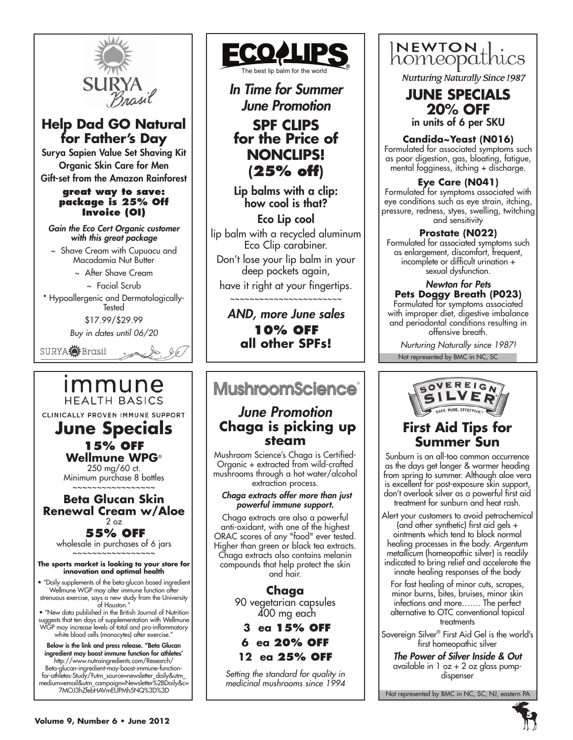

## **Help Dad GO Natural for Father's Day**

Surya Sapien Value Set Shaving Kit Organic Skin Care for Men Gift-set from the Amazon Rainforest

#### **great way to save: package is 25% Off Invoice (OI)**

*Gain the Eco Cert Organic customer with this great package*

~ Shave Cream with Cupuacu and Macadamia Nut Butter

~ After Shave Cream

~ Facial Scrub

\* Hypoallergenic and Dermatologically-**Tested** 

\$17.99/\$29.99

*Buy in dates until 06/20*

 $\frac{1}{2}$ 

SURYA<sup>2</sup> Brasil

# immune **HEALTH BASICS**

CLINICALLY PROVEN IMMUNE SUPPORT

### **June Specials 15% off Wellmune WPG**®

250 mg/60 ct. Minimum purchase 8 bottles

#### ~~~~~~~~~~~~~~~ **Beta Glucan Skin Renewal Cream w/Aloe**  $2 \sigma$ **55% off**

wholesale in purchases of 6 jars ~~~~~~~~~~~~~~~~~

#### **The sports market is looking to your store for innovation and optimal health**

• "Daily supplements of the beta-glucan based ingredient Wellmune WGP may alter immune function after strenuous exercise, says a new study from the University of Houston."

• "New data published in the British Journal of Nutrition suggests that ten days of supplementation with Wellmune WGP may increase levels of total and pro-inflammatory white blood cells (monocytes) after exercise."

Below is the link and press release. "Beta Glucan ingredient may boost immune function for athletes' http://www.nutraingredients.com/Research/ Beta-glucan-ingredient-may-boost-immune-functionfor-athletes-Study/?utm\_source=newsletter\_daily&utm\_ medium=email&utm\_campaign=Newsletter%2BDaily&c= 7MOJ3hZfebHAVmEUPMh5NQ%3D%3D



*In Time for Summer June Promotion* **SPF CLIPS for the Price of NONCLIPS! (25% off)**

Lip balms with a clip: how cool is that?

Eco Lip cool lip balm with a recycled aluminum Eco Clip carabiner.

Don't lose your lip balm in your deep pockets again,

have it right at your fingertips. ~~~~~~~~~~~~~~~~~~~~~

*AND, more June sales* **10% OFF all other SPFs!**

# **MushroomScience®**

### *June Promotion*  **Chaga is picking up steam**

Mushroom Science's Chaga is Certified-Organic + extracted from wild-crafted mushrooms through a hot water/alcohol extraction process.

#### *Chaga extracts offer more than just powerful immune support.*

Chaga extracts are also a powerful anti-oxidant, with one of the highest ORAC scores of any "food" ever tested. Higher than green or black tea extracts. Chaga extracts also contains melanin compounds that help protect the skin and hair.

> **Chaga** 90 vegetarian capsules 400 mg each

 **3 ea 15% off 6 ea 20% off**

**12 ea 25% off**

*Setting the standard for quality in medicinal mushrooms since 1994*



**Nurturing Naturally Since 1987** 

# **JUNE SPECIALS 20% OFF**

in units of 6 per SKU

**Candida~Yeast (N016)**

Formulated for associated symptoms such as poor digestion, gas, bloating, fatigue, mental fogginess, itching + discharge.

#### **Eye Care (N041)**

Formulated for symptoms associated with eye conditions such as eye strain, itching, pressure, redness, styes, swelling, twitching and sensitivity

#### **Prostate (N022)**

Formulated for associated symptoms such as enlargement, discomfort, frequent, incomplete or difficult urination + sexual dysfunction.

#### *Newton for Pets* **Pets Doggy Breath (P023)**

Formulated for symptoms associated with improper diet, digestive imbalance and periodontal conditions resulting in offensive breath.

Not represented by BMC in NC, SC *Nurturing Naturally since 1987!*



## **First Aid Tips for Summer Sun**

Sunburn is an all-too common occurrence as the days get longer & warmer heading from spring to summer. Although aloe vera is excellent for post-exposure skin support, don't overlook silver as a powerful first aid treatment for sunburn and heat rash.

Alert your customers to avoid petrochemical (and other synthetic) first aid gels + ointments which tend to block normal healing processes in the body. *Argentum metallicum* (homeopathic silver) is readily indicated to bring relief and accelerate the innate healing responses of the body

For fast healing of minor cuts, scrapes, minor burns, bites, bruises, minor skin infections and more……. The perfect alternative to OTC conventional topical treatments

Sovereign Silver® First Aid Gel is the world's first homeopathic silver

*The Power of Silver Inside & Out* available in 1 oz + 2 oz glass pumpdispenser

Not represented by BMC in NC, SC, NJ, eastern PA

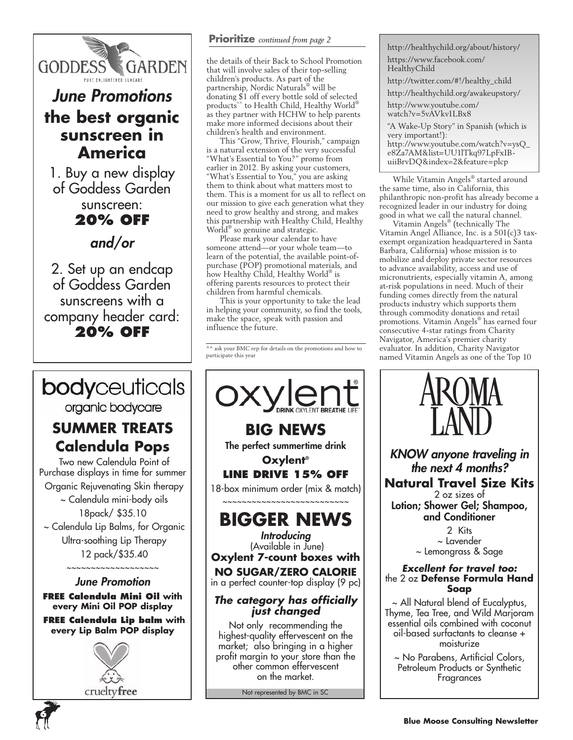

# *June Promotions* **the best organic sunscreen in America**

1. Buy a new display of Goddess Garden

# sunscreen: **20% OFF**

# *and/or*

2. Set up an endcap of Goddess Garden sunscreens with a company header card: **20% OFF**

# bodyceuticals

organic bodycare

# **SUMMER TREATS Calendula Pops**

 Two new Calendula Point of Purchase displays in time for summer Organic Rejuvenating Skin therapy

 ~ Calendula mini-body oils 18pack/ \$35.10

 ~ Calendula Lip Balms, for Organic Ultra-soothing Lip Therapy 12 pack/\$35.40

~~~~~~~~~~~~~~~~~~~

*June Promotion* **FREE Calendula Mini Oil with every Mini Oil POP display**

**FREE Calendula Lip balm with every Lip Balm POP display**



**6**

#### **Prioritize** *continued from page 2*

the details of their Back to School Promotion that will involve sales of their top-selling children's products. As part of the partnership, Nordic Naturals® will be donating \$1 off every bottle sold of selected products<sup>^^</sup> to Health Child, Healthy World® as they partner with HCHW to help parents make more informed decisions about their children's health and environment.

This "Grow, Thrive, Flourish," campaign is a natural extension of the very successful "What's Essential to You?" promo from earlier in 2012. By asking your customers, "What's Essential to You," you are asking them to think about what matters most to them. This is a moment for us all to reflect on our mission to give each generation what they need to grow healthy and strong, and makes this partnership with Healthy Child, Healthy World® so genuine and strategic.

Please mark your calendar to have someone attend—or your whole team—to learn of the potential, the available point-ofpurchase (POP) promotional materials, and how Healthy Child, Healthy World® is offering parents resources to protect their children from harmful chemicals.

This is your opportunity to take the lead in helping your community, so find the tools, make the space, speak with passion and influence the future.

 $\lambda$ <sup> $\land$ </sup> ask your BMC rep for details on the promotions and how to participate this year



Not represented by BMC in SC

http://healthychild.org/about/history/ https://www.facebook.com/ HealthyChild http://twitter.com/#!/healthy\_child http://healthychild.org/awakeupstory/ http://www.youtube.com/ watch?v=5vAVkv1LBx8 "A Wake-Up Story" in Spanish (which is very important!): http://www.youtube.com/watch?v=ysQ\_ e8Za7AM&list=UU1lTkq97LpFxIBuiiBrvDQ&index=2&feature=plcp

While Vitamin Angels® started around the same time, also in California, this philanthropic non-profit has already become a recognized leader in our industry for doing good in what we call the natural channel.

Vitamin Angels® (technically The Vitamin Angel Alliance, Inc. is a 501(c)3 taxexempt organization headquartered in Santa Barbara, California) whose mission is to mobilize and deploy private sector resources to advance availability, access and use of micronutrients, especially vitamin A, among at-risk populations in need. Much of their funding comes directly from the natural products industry which supports them through commodity donations and retail promotions. Vitamin Angels® has earned four consecutive 4-star ratings from Charity Navigator, America's premier charity evaluator. In addition, Charity Navigator named Vitamin Angels as one of the Top 10



*KNOW anyone traveling in the next 4 months?* **Natural Travel Size Kits** 2 oz sizes of Lotion; Shower Gel; Shampoo, and Conditioner

> 2 Kits ~ Lavender ~ Lemongrass & Sage

#### *Excellent for travel too:* the 2 oz **Defense Formula Hand Soap**

~ All Natural blend of Eucalyptus, Thyme, Tea Tree, and Wild Marjoram essential oils combined with coconut oil-based surfactants to cleanse + moisturize

~ No Parabens, Artificial Colors, Petroleum Products or Synthetic Fragrances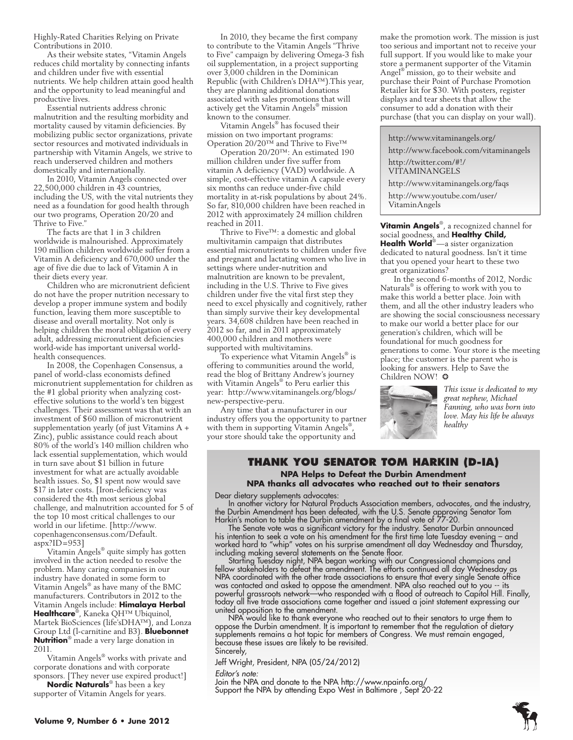Highly-Rated Charities Relying on Private Contributions in 2010.

As their website states, "Vitamin Angels reduces child mortality by connecting infants and children under five with essential nutrients. We help children attain good health and the opportunity to lead meaningful and productive lives.

Essential nutrients address chronic malnutrition and the resulting morbidity and mortality caused by vitamin deficiencies. By mobilizing public sector organizations, private sector resources and motivated individuals in partnership with Vitamin Angels, we strive to reach underserved children and mothers domestically and internationally.

In 2010, Vitamin Angels connected over 22,500,000 children in 43 countries, including the US, with the vital nutrients they need as a foundation for good health through our two programs, Operation 20/20 and Thrive to Five."

The facts are that 1 in 3 children worldwide is malnourished. Approximately 190 million children worldwide suffer from a Vitamin A deficiency and 670,000 under the age of five die due to lack of Vitamin A in their diets every year.

Children who are micronutrient deficient do not have the proper nutrition necessary to develop a proper immune system and bodily function, leaving them more susceptible to disease and overall mortality. Not only is helping children the moral obligation of every adult, addressing micronutrient deficiencies world-wide has important universal worldhealth consequences.

In 2008, the Copenhagen Consensus, a panel of world-class economists defined micronutrient supplementation for children as the #1 global priority when analyzing costeffective solutions to the world's ten biggest challenges. Their assessment was that with an investment of \$60 million of micronutrient supplementation yearly (of just Vitamins A + Zinc), public assistance could reach about 80% of the world's 140 million children who lack essential supplementation, which would in turn save about \$1 billion in future investment for what are actually avoidable health issues. So, \$1 spent now would save \$17 in later costs. [Iron-deficiency was considered the 4th most serious global challenge, and malnutrition accounted for 5 of the top 10 most critical challenges to our world in our lifetime. [http://www. copenhagenconsensus.com/Default.  $a$ spx?ID=953]

Vitamin Angels® quite simply has gotten involved in the action needed to resolve the problem. Many caring companies in our industry have donated in some form to Vitamin Angels® as have many of the BMC manufacturers. Contributors in 2012 to the Vitamin Angels include: **Himalaya Herbal Healthcare**® , Kaneka QH™ Ubiquinol, Martek BioSciences (life'sDHA™), and Lonza Group Ltd (l-carnitine and B3). **Bluebonnet Nutrition**® made a very large donation in 2011.

Vitamin Angels® works with private and corporate donations and with corporate sponsors. [They never use expired product!]

**Nordic Naturals**® has been a key supporter of Vitamin Angels for years.

In 2010, they became the first company to contribute to the Vitamin Angels "Thrive to Five" campaign by delivering Omega-3 fish oil supplementation, in a project supporting over 3,000 children in the Dominican Republic (with Children's DHA™).This year, they are planning additional donations associated with sales promotions that will actively get the Vitamin Angels® mission known to the consumer.

Vitamin Angels® has focused their mission on two important programs: Operation 20/20™ and Thrive to Five™

Operation 20/20™: An estimated 190 million children under five suffer from vitamin A deficiency (VAD) worldwide. A simple, cost-effective vitamin A capsule every six months can reduce under-five child mortality in at-risk populations by about 24%. So far, 810,000 children have been reached in 2012 with approximately 24 million children reached in 2011.

Thrive to Five™: a domestic and global multivitamin campaign that distributes essential micronutrients to children under five and pregnant and lactating women who live in settings where under-nutrition and malnutrition are known to be prevalent, including in the U.S. Thrive to Five gives children under five the vital first step they need to excel physically and cognitively, rather than simply survive their key developmental years. 34,608 children have been reached in 2012 so far, and in 2011 approximately 400,000 children and mothers were supported with multivitamins.

To experience what Vitamin Angels® is offering to communities around the world, read the blog of Brittany Andrew's journey with Vitamin Angels® to Peru earlier this year: http://www.vitaminangels.org/blogs/ new-perspective-peru.

Any time that a manufacturer in our industry offers you the opportunity to partner with them in supporting Vitamin Angels® , your store should take the opportunity and

make the promotion work. The mission is just too serious and important not to receive your full support. If you would like to make your store a permanent supporter of the Vitamin Angel® mission, go to their website and purchase their Point of Purchase Promotion Retailer kit for \$30. With posters, register displays and tear sheets that allow the consumer to add a donation with their purchase (that you can display on your wall).

http://www.vitaminangels.org/

http://www.facebook.com/vitaminangels

http://twitter.com/#!/ VITAMINANGELS

http://www.vitaminangels.org/faqs http://www.youtube.com/user/ VitaminAngels

**Vitamin Angels**® , a recognized channel for social goodness, and **Healthy Child, Health World**®—a sister organization dedicated to natural goodness. Isn't it time that you opened your heart to these two great organizations?

In the second 6-months of 2012, Nordic Naturals® is offering to work with you to make this world a better place. Join with them, and all the other industry leaders who are showing the social consciousness necessary to make our world a better place for our generation's children, which will be foundational for much goodness for generations to come. Your store is the meeting place; the customer is the parent who is looking for answers. Help to Save the Children NOW! ❂



*This issue is dedicated to my great nephew, Michael Fanning, who was born into love. May his life be always healthy*

#### **Thank you Senator Tom Harkin (D-IA) NPA Helps to Defeat the Durbin Amendment NPA thanks all advocates who reached out to their senators**

Dear dietary supplements advocates:

In another victory for Natural Products Association members, advocates, and the industry, the Durbin Amendment has been defeated, with the U.S. Senate approving Senator Tom Harkin's motion to table the Durbin amendment by a final vote of 77-20.

The Senate vote was a significant victory for the industry. Senator Durbin announced his intention to seek a vote on his amendment for the first time late Tuesday evening – and worked hard to "whip" votes on his surprise amendment all day Wednesday and Thursday, including making several statements on the Senate floor.

Starting Tuesday night, NPA began working with our Congressional champions and fellow stakeholders to defeat the amendment. The efforts continued all day Wednesday as NPA coordinated with the other trade associations to ensure that every single Senate office was contacted and asked to oppose the amendment. NPA also reached out to you -- its powerful grassroots network—who responded with a flood of outreach to Capitol Hill. Finally, today all five trade associations came together and issued a joint statement expressing our united opposition to the amendment.

NPA would like to thank everyone who reached out to their senators to urge them to oppose the Durbin amendment. It is important to remember that the regulation of dietary supplements remains a hot topic for members of Congress. We must remain engaged, because these issues are likely to be revisited. Sincerely,

Jeff Wright, President, NPA (05/24/2012)

*Editor's note:*

Join the NPA and donate to the NPA http://www.npainfo.org/ Support the NPA by attending Expo West in Baltimore , Sept 20-22